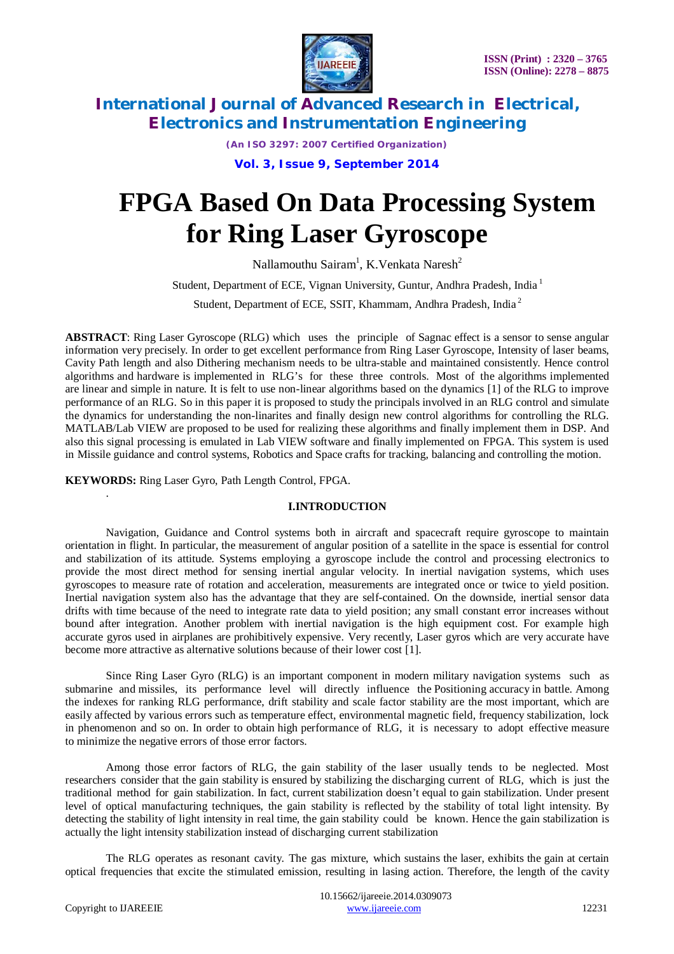

*(An ISO 3297: 2007 Certified Organization)*

**Vol. 3, Issue 9, September 2014**

# **FPGA Based On Data Processing System for Ring Laser Gyroscope**

Nallamouthu Sairam<sup>1</sup>, K.Venkata Naresh<sup>2</sup>

Student, Department of ECE, Vignan University, Guntur, Andhra Pradesh, India <sup>1</sup>

Student, Department of ECE, SSIT, Khammam, Andhra Pradesh, India <sup>2</sup>

**ABSTRACT**: Ring Laser Gyroscope (RLG) which uses the principle of Sagnac effect is a sensor to sense angular information very precisely. In order to get excellent performance from Ring Laser Gyroscope, Intensity of laser beams, Cavity Path length and also Dithering mechanism needs to be ultra-stable and maintained consistently. Hence control algorithms and hardware is implemented in RLG's for these three controls. Most of the algorithms implemented are linear and simple in nature. It is felt to use non-linear algorithms based on the dynamics [1] of the RLG to improve performance of an RLG. So in this paper it is proposed to study the principals involved in an RLG control and simulate the dynamics for understanding the non-linarites and finally design new control algorithms for controlling the RLG. MATLAB/Lab VIEW are proposed to be used for realizing these algorithms and finally implement them in DSP. And also this signal processing is emulated in Lab VIEW software and finally implemented on FPGA. This system is used in Missile guidance and control systems, Robotics and Space crafts for tracking, balancing and controlling the motion.

**KEYWORDS:** Ring Laser Gyro, Path Length Control, FPGA.

#### **I.INTRODUCTION**

Navigation, Guidance and Control systems both in aircraft and spacecraft require gyroscope to maintain orientation in flight. In particular, the measurement of angular position of a satellite in the space is essential for control and stabilization of its attitude. Systems employing a gyroscope include the control and processing electronics to provide the most direct method for sensing inertial angular velocity. In inertial navigation systems, which uses gyroscopes to measure rate of rotation and acceleration, measurements are integrated once or twice to yield position. Inertial navigation system also has the advantage that they are self-contained. On the downside, inertial sensor data drifts with time because of the need to integrate rate data to yield position; any small constant error increases without bound after integration. Another problem with inertial navigation is the high equipment cost. For example high accurate gyros used in airplanes are prohibitively expensive. Very recently, Laser gyros which are very accurate have become more attractive as alternative solutions because of their lower cost [1].

Since Ring Laser Gyro (RLG) is an important component in modern military navigation systems such as submarine and missiles, its performance level will directly influence the Positioning accuracy in battle. Among the indexes for ranking RLG performance, drift stability and scale factor stability are the most important, which are easily affected by various errors such as temperature effect, environmental magnetic field, frequency stabilization, lock in phenomenon and so on. In order to obtain high performance of RLG, it is necessary to adopt effective measure to minimize the negative errors of those error factors.

Among those error factors of RLG, the gain stability of the laser usually tends to be neglected. Most researchers consider that the gain stability is ensured by stabilizing the discharging current of RLG, which is just the traditional method for gain stabilization. In fact, current stabilization doesn't equal to gain stabilization. Under present level of optical manufacturing techniques, the gain stability is reflected by the stability of total light intensity. By detecting the stability of light intensity in real time, the gain stability could be known. Hence the gain stabilization is actually the light intensity stabilization instead of discharging current stabilization

The RLG operates as resonant cavity. The gas mixture, which sustains the laser, exhibits the gain at certain optical frequencies that excite the stimulated emission, resulting in lasing action. Therefore, the length of the cavity

.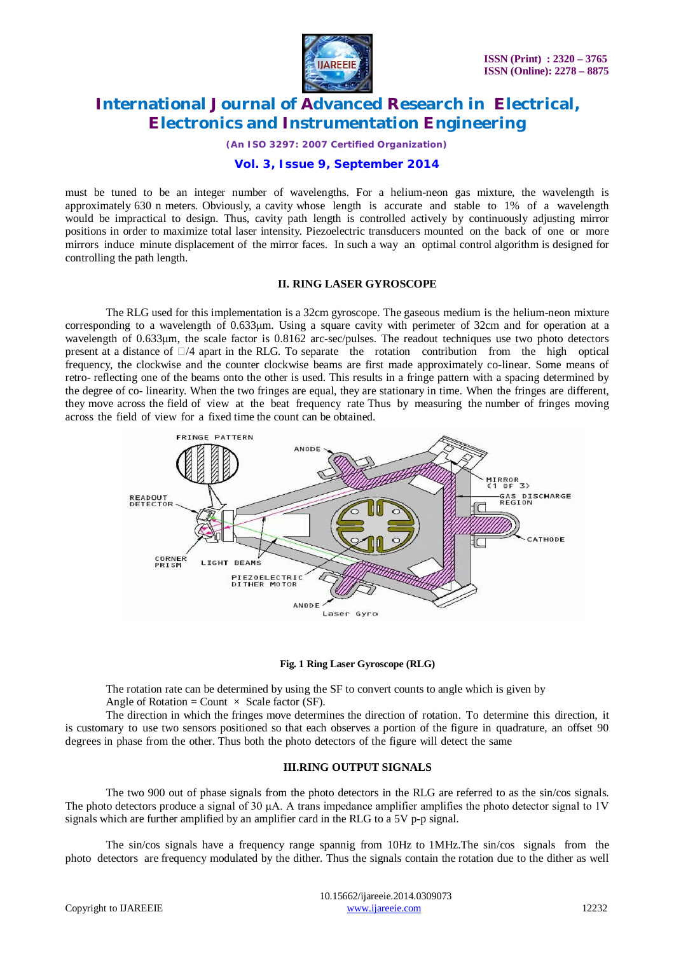

*(An ISO 3297: 2007 Certified Organization)*

### **Vol. 3, Issue 9, September 2014**

must be tuned to be an integer number of wavelengths. For a helium-neon gas mixture, the wavelength is approximately 630 n meters. Obviously, a cavity whose length is accurate and stable to 1% of a wavelength would be impractical to design. Thus, cavity path length is controlled actively by continuously adjusting mirror positions in order to maximize total laser intensity. Piezoelectric transducers mounted on the back of one or more mirrors induce minute displacement of the mirror faces. In such a way an optimal control algorithm is designed for controlling the path length.

### **II. RING LASER GYROSCOPE**

The RLG used for this implementation is a 32cm gyroscope. The gaseous medium is the helium-neon mixture corresponding to a wavelength of 0.633μm. Using a square cavity with perimeter of 32cm and for operation at a wavelength of 0.633μm, the scale factor is 0.8162 arc-sec/pulses. The readout techniques use two photo detectors present at a distance of  $\Box$ /4 apart in the RLG. To separate the rotation contribution from the high optical frequency, the clockwise and the counter clockwise beams are first made approximately co-linear. Some means of retro- reflecting one of the beams onto the other is used. This results in a fringe pattern with a spacing determined by the degree of co- linearity. When the two fringes are equal, they are stationary in time. When the fringes are different, they move across the field of view at the beat frequency rate Thus by measuring the number of fringes moving across the field of view for a fixed time the count can be obtained.



#### **Fig. 1 Ring Laser Gyroscope (RLG)**

The rotation rate can be determined by using the SF to convert counts to angle which is given by Angle of Rotation = Count  $\times$  Scale factor (SF).

The direction in which the fringes move determines the direction of rotation. To determine this direction, it is customary to use two sensors positioned so that each observes a portion of the figure in quadrature, an offset 90 degrees in phase from the other. Thus both the photo detectors of the figure will detect the same

#### **III.RING OUTPUT SIGNALS**

The two 900 out of phase signals from the photo detectors in the RLG are referred to as the sin/cos signals. The photo detectors produce a signal of 30  $\mu$ A. A trans impedance amplifier amplifies the photo detector signal to 1V signals which are further amplified by an amplifier card in the RLG to a 5V p-p signal.

The sin/cos signals have a frequency range spannig from 10Hz to 1MHz.The sin/cos signals from the photo detectors are frequency modulated by the dither. Thus the signals contain the rotation due to the dither as well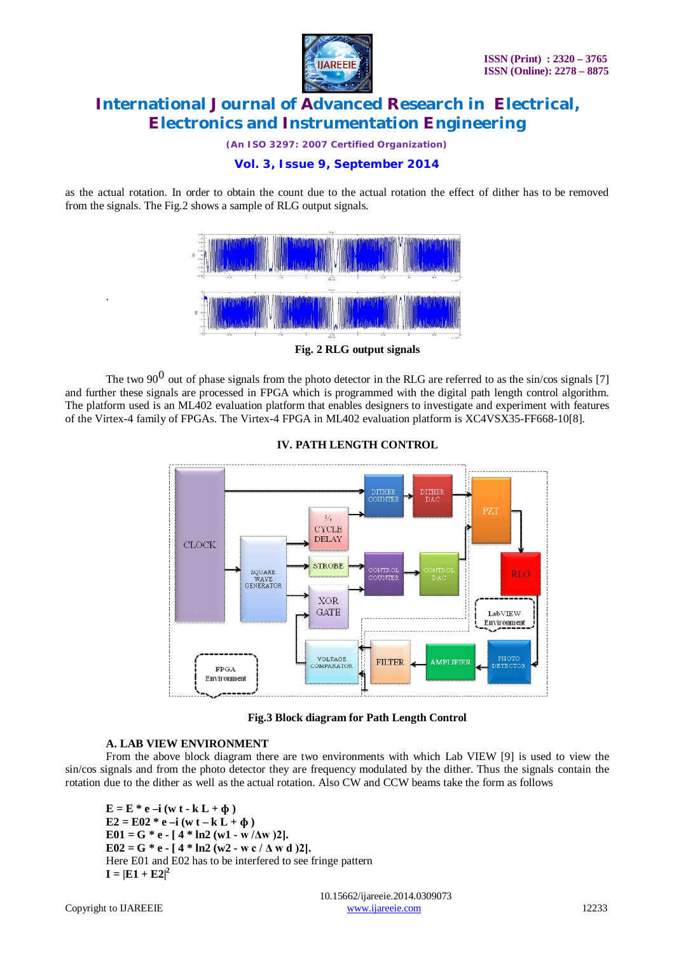

*(An ISO 3297: 2007 Certified Organization)*

# **Vol. 3, Issue 9, September 2014**

as the actual rotation. In order to obtain the count due to the actual rotation the effect of dither has to be removed from the signals. The Fig.2 shows a sample of RLG output signals.



**Fig. 2 RLG output signals**

The two 90<sup>0</sup> out of phase signals from the photo detector in the RLG are referred to as the sin/cos signals [7] and further these signals are processed in FPGA which is programmed with the digital path length control algorithm. The platform used is an ML402 evaluation platform that enables designers to investigate and experiment with features of the Virtex-4 family of FPGAs. The Virtex-4 FPGA in ML402 evaluation platform is XC4VSX35-FF668-10[8].



**IV. PATH LENGTH CONTROL**

**Fig.3 Block diagram for Path Length Control**

### **A. LAB VIEW ENVIRONMENT**

From the above block diagram there are two environments with which Lab VIEW [9] is used to view the sin/cos signals and from the photo detector they are frequency modulated by the dither. Thus the signals contain the rotation due to the dither as well as the actual rotation. Also CW and CCW beams take the form as follows

 $E = E^* e -i (w t - k L + \phi)$  $E2 = E02 * e -i (w t - k L + \phi)$  $E01 = G * e - [4 * ln2 (w1 - w/\Delta w)]$ .  $E02 = G * e - [4 * ln2 (w2 - w c / \Delta w d)]$ . Here E01 and E02 has to be interfered to see fringe pattern  $I = |E1 + E2|^2$ 

.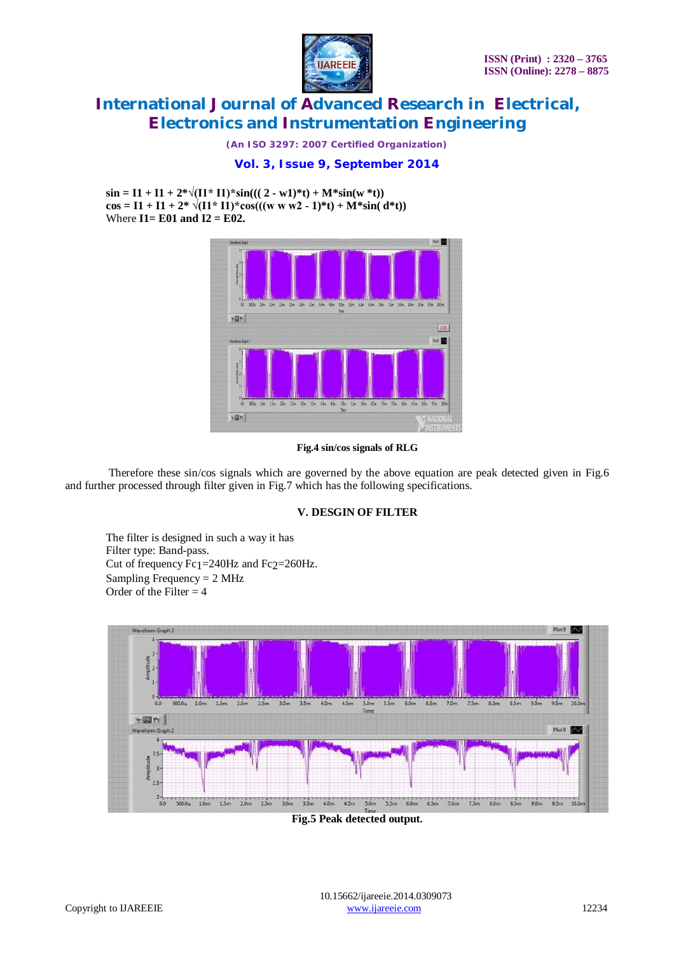

*(An ISO 3297: 2007 Certified Organization)*

## **Vol. 3, Issue 9, September 2014**

 $\sin = 11 + 11 + 2^* \sqrt{(11^* \text{ I}1)^*} \sin(((2 - \text{w1})^* \text{I}) + \text{M*} \sin(\text{w*} \text{I}))$  $\cos = 11 + 11 + 2^* \sqrt{(11^* \cdot 11)^*} \cos(((w \cdot w \cdot w^2 - 1)^* t) + M^* \sin((d^* t))$ Where **I1= E01 and I2 = E02.**



#### **Fig.4 sin/cos signals of RLG**

Therefore these sin/cos signals which are governed by the above equation are peak detected given in Fig.6 and further processed through filter given in Fig.7 which has the following specifications.

#### **V. DESGIN OF FILTER**

The filter is designed in such a way it has Filter type: Band-pass. Cut of frequency  $Fe<sub>1</sub>=240Hz$  and  $Fe<sub>2</sub>=260Hz$ . Sampling Frequency  $= 2$  MHz Order of the Filter  $=$  4



**Fig.5 Peak detected output.**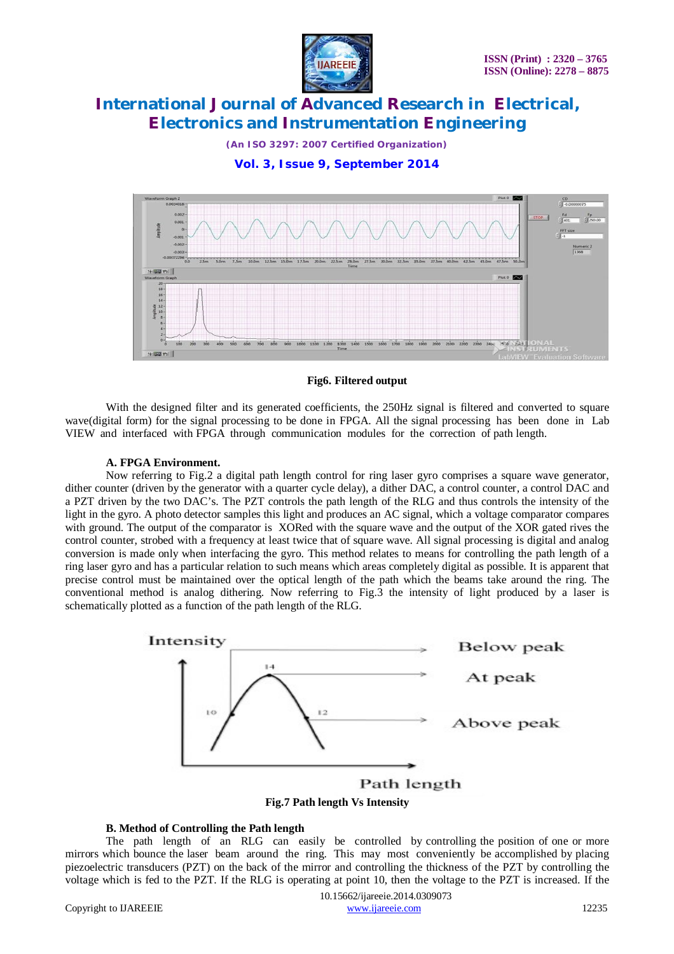

*(An ISO 3297: 2007 Certified Organization)*

**Vol. 3, Issue 9, September 2014**



#### **Fig6. Filtered output**

With the designed filter and its generated coefficients, the 250Hz signal is filtered and converted to square wave(digital form) for the signal processing to be done in FPGA. All the signal processing has been done in Lab VIEW and interfaced with FPGA through communication modules for the correction of path length.

### **A. FPGA Environment.**

Now referring to Fig.2 a digital path length control for ring laser gyro comprises a square wave generator, dither counter (driven by the generator with a quarter cycle delay), a dither DAC, a control counter, a control DAC and a PZT driven by the two DAC's. The PZT controls the path length of the RLG and thus controls the intensity of the light in the gyro. A photo detector samples this light and produces an AC signal, which a voltage comparator compares with ground. The output of the comparator is XORed with the square wave and the output of the XOR gated rives the control counter, strobed with a frequency at least twice that of square wave. All signal processing is digital and analog conversion is made only when interfacing the gyro. This method relates to means for controlling the path length of a ring laser gyro and has a particular relation to such means which areas completely digital as possible. It is apparent that precise control must be maintained over the optical length of the path which the beams take around the ring. The conventional method is analog dithering. Now referring to Fig.3 the intensity of light produced by a laser is schematically plotted as a function of the path length of the RLG.



**Fig.7 Path length Vs Intensity**

### **B. Method of Controlling the Path length**

The path length of an RLG can easily be controlled by controlling the position of one or more mirrors which bounce the laser beam around the ring. This may most conveniently be accomplished by placing piezoelectric transducers (PZT) on the back of the mirror and controlling the thickness of the PZT by controlling the voltage which is fed to the PZT. If the RLG is operating at point 10, then the voltage to the PZT is increased. If the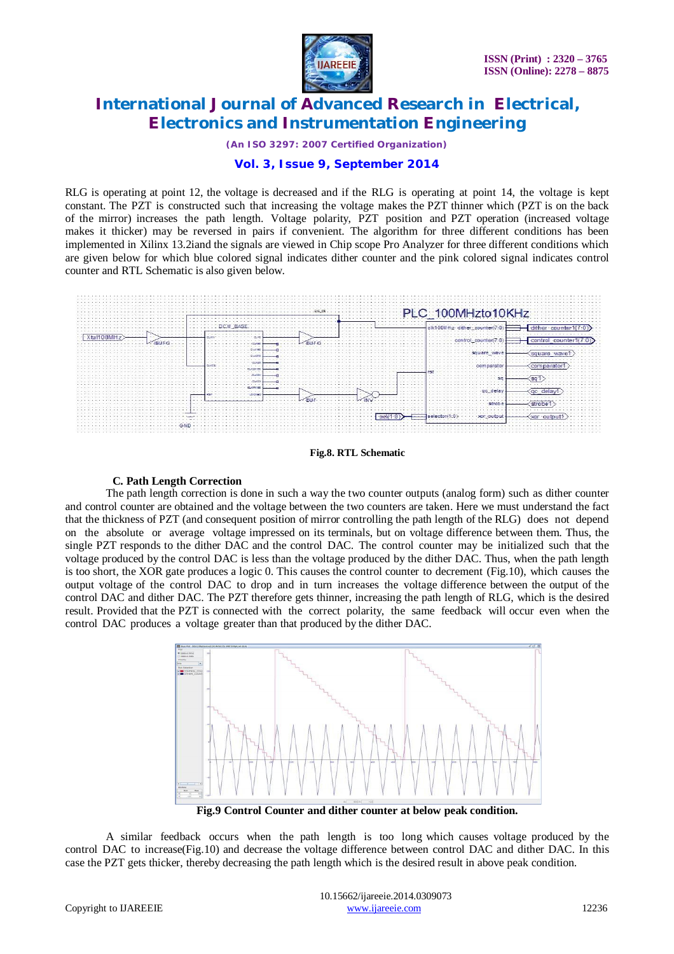

*(An ISO 3297: 2007 Certified Organization)*

### **Vol. 3, Issue 9, September 2014**

RLG is operating at point 12, the voltage is decreased and if the RLG is operating at point 14, the voltage is kept constant. The PZT is constructed such that increasing the voltage makes the PZT thinner which (PZT is on the back of the mirror) increases the path length. Voltage polarity, PZT position and PZT operation (increased voltage makes it thicker) may be reversed in pairs if convenient. The algorithm for three different conditions has been implemented in Xilinx 13.2iand the signals are viewed in Chip scope Pro Analyzer for three different conditions which are given below for which blue colored signal indicates dither counter and the pink colored signal indicates control counter and RTL Schematic is also given below.



**Fig.8. RTL Schematic**

#### **C. Path Length Correction**

The path length correction is done in such a way the two counter outputs (analog form) such as dither counter and control counter are obtained and the voltage between the two counters are taken. Here we must understand the fact that the thickness of PZT (and consequent position of mirror controlling the path length of the RLG) does not depend on the absolute or average voltage impressed on its terminals, but on voltage difference between them. Thus, the single PZT responds to the dither DAC and the control DAC. The control counter may be initialized such that the voltage produced by the control DAC is less than the voltage produced by the dither DAC. Thus, when the path length is too short, the XOR gate produces a logic 0. This causes the control counter to decrement (Fig.10), which causes the output voltage of the control DAC to drop and in turn increases the voltage difference between the output of the control DAC and dither DAC. The PZT therefore gets thinner, increasing the path length of RLG, which is the desired result. Provided that the PZT is connected with the correct polarity, the same feedback will occur even when the control DAC produces a voltage greater than that produced by the dither DAC.



**Fig.9 Control Counter and dither counter at below peak condition.**

A similar feedback occurs when the path length is too long which causes voltage produced by the control DAC to increase(Fig.10) and decrease the voltage difference between control DAC and dither DAC. In this case the PZT gets thicker, thereby decreasing the path length which is the desired result in above peak condition.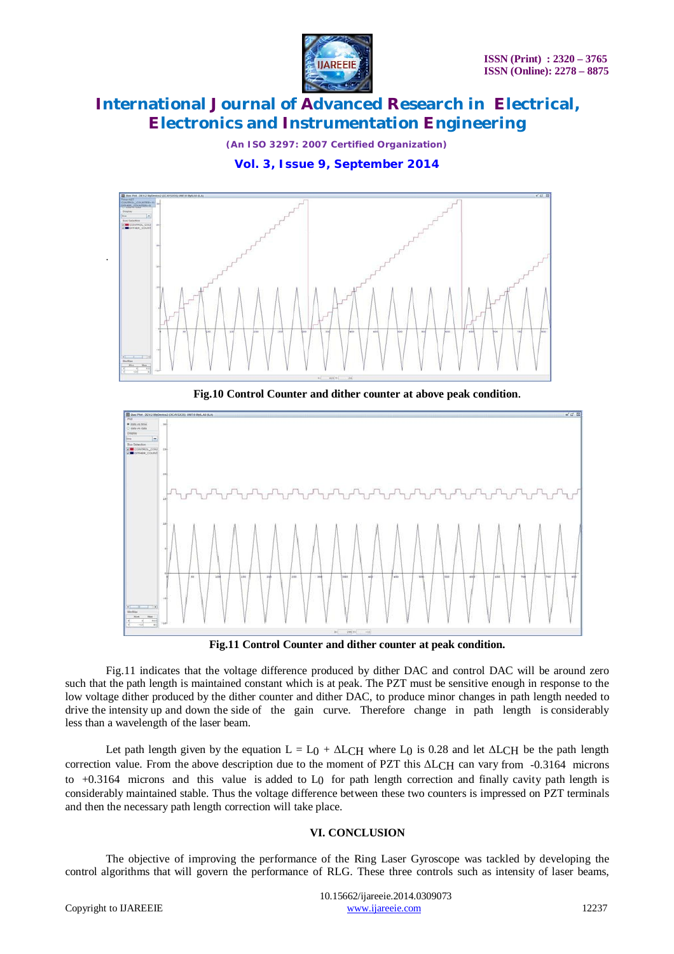

*(An ISO 3297: 2007 Certified Organization)*

**Vol. 3, Issue 9, September 2014**



**Fig.10 Control Counter and dither counter at above peak condition**.



**Fig.11 Control Counter and dither counter at peak condition.**

Fig.11 indicates that the voltage difference produced by dither DAC and control DAC will be around zero such that the path length is maintained constant which is at peak. The PZT must be sensitive enough in response to the low voltage dither produced by the dither counter and dither DAC, to produce minor changes in path length needed to drive the intensity up and down the side of the gain curve. Therefore change in path length is considerably less than a wavelength of the laser beam.

Let path length given by the equation  $L = L_0 + \Delta L_0$  where L<sub>0</sub> is 0.28 and let  $\Delta L_0$  be the path length correction value. From the above description due to the moment of PZT this ΔLCH can vary from -0.3164 microns to +0.3164 microns and this value is added to L0 for path length correction and finally cavity path length is considerably maintained stable. Thus the voltage difference between these two counters is impressed on PZT terminals and then the necessary path length correction will take place.

### **VI. CONCLUSION**

The objective of improving the performance of the Ring Laser Gyroscope was tackled by developing the control algorithms that will govern the performance of RLG. These three controls such as intensity of laser beams,